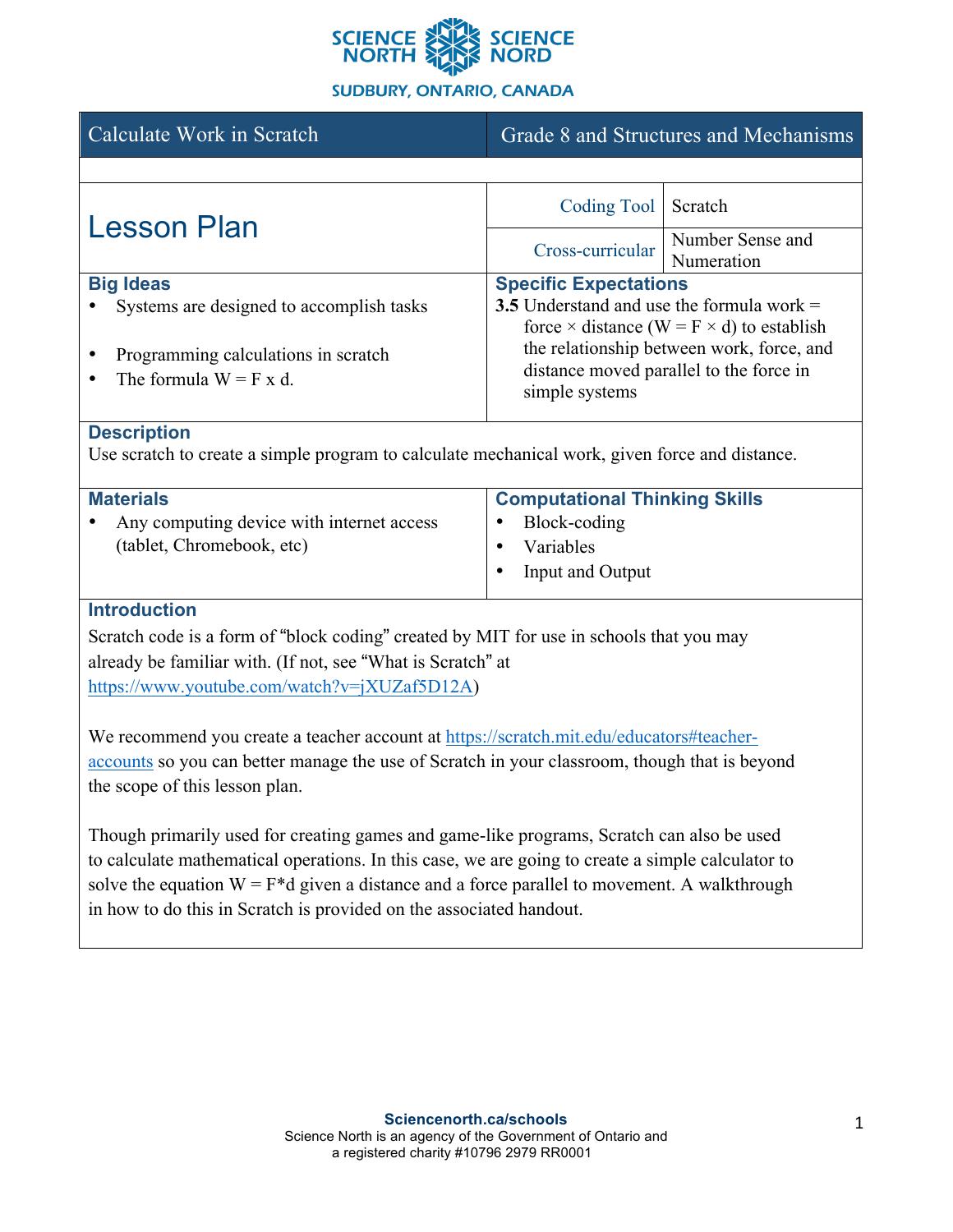

## **SUDBURY, ONTARIO, CANADA**

| Calculate Work in Scratch                                                                                                                                                                                                                                                                                                                                               | Grade 8 and Structures and Mechanisms                                                                                                                                                                                                            |                                |
|-------------------------------------------------------------------------------------------------------------------------------------------------------------------------------------------------------------------------------------------------------------------------------------------------------------------------------------------------------------------------|--------------------------------------------------------------------------------------------------------------------------------------------------------------------------------------------------------------------------------------------------|--------------------------------|
|                                                                                                                                                                                                                                                                                                                                                                         |                                                                                                                                                                                                                                                  |                                |
| <b>Lesson Plan</b>                                                                                                                                                                                                                                                                                                                                                      | <b>Coding Tool</b>                                                                                                                                                                                                                               | Scratch                        |
|                                                                                                                                                                                                                                                                                                                                                                         | Cross-curricular                                                                                                                                                                                                                                 | Number Sense and<br>Numeration |
| <b>Big Ideas</b><br>Systems are designed to accomplish tasks                                                                                                                                                                                                                                                                                                            | <b>Specific Expectations</b><br>3.5 Understand and use the formula work $=$<br>force $\times$ distance (W = F $\times$ d) to establish<br>the relationship between work, force, and<br>distance moved parallel to the force in<br>simple systems |                                |
| Programming calculations in scratch<br>The formula $W = F x d$ .                                                                                                                                                                                                                                                                                                        |                                                                                                                                                                                                                                                  |                                |
| <b>Description</b><br>Use scratch to create a simple program to calculate mechanical work, given force and distance.                                                                                                                                                                                                                                                    |                                                                                                                                                                                                                                                  |                                |
| <b>Materials</b>                                                                                                                                                                                                                                                                                                                                                        | <b>Computational Thinking Skills</b>                                                                                                                                                                                                             |                                |
| Any computing device with internet access                                                                                                                                                                                                                                                                                                                               | Block-coding                                                                                                                                                                                                                                     |                                |
| (tablet, Chromebook, etc)                                                                                                                                                                                                                                                                                                                                               | Variables<br><b>Input and Output</b>                                                                                                                                                                                                             |                                |
|                                                                                                                                                                                                                                                                                                                                                                         |                                                                                                                                                                                                                                                  |                                |
| <b>Introduction</b><br>Scratch code is a form of "block coding" created by MIT for use in schools that you may<br>already be familiar with. (If not, see "What is Scratch" at<br>https://www.youtube.com/watch?v=jXUZaf5D12A)                                                                                                                                           |                                                                                                                                                                                                                                                  |                                |
| We recommend you create a teacher account at https://scratch.mit.edu/educators#teacher-<br>accounts so you can better manage the use of Scratch in your classroom, though that is beyond<br>the scope of this lesson plan.                                                                                                                                              |                                                                                                                                                                                                                                                  |                                |
| Though primarily used for creating games and game-like programs, Scratch can also be used<br>to calculate mathematical operations. In this case, we are going to create a simple calculator to<br>solve the equation $W = F^*d$ given a distance and a force parallel to movement. A walkthrough<br>in how to do this in Scratch is provided on the associated handout. |                                                                                                                                                                                                                                                  |                                |
|                                                                                                                                                                                                                                                                                                                                                                         |                                                                                                                                                                                                                                                  |                                |